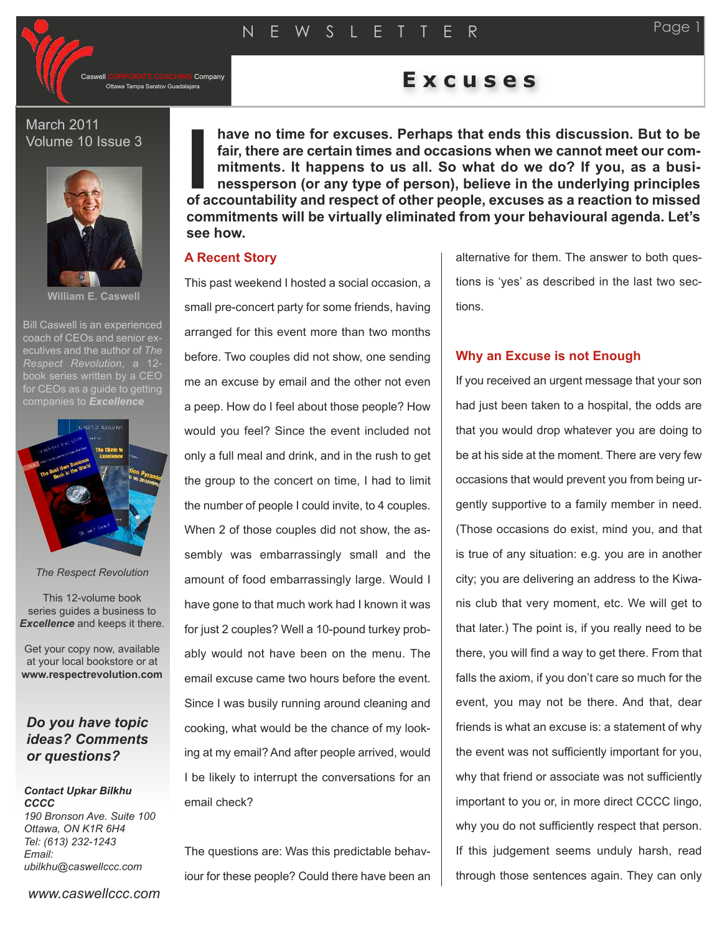Company

# Ottawa Tampa Saratov Guadalajara **E x c u s e s**

# March 2011 Volume 10 Issue 3



**William E. Caswell**

Bill Caswell is an experienced coach of CEOs and senior executives and the author of *The Respect Revolution*, a 12 book series written by a CEO for CEOs as a quide to getting



#### *The Respect Revolution*

This 12-volume book series guides a business to *Excellence* and keeps it there.

Get your copy now, available at your local bookstore or at **www.respectrevolution.com**

# *Do you have topic ideas? Comments or questions?*

#### *Contact Upkar Bilkhu CCCC 190 Bronson Ave. Suite 100 Ottawa, ON K1R 6H4 Tel: (613) 232-1243 Email:*

*ubilkhu@caswellccc.com*

**have no time for excuses. Perhaps that ends this discussion. But to be fair, there are certain times and occasions when we cannot meet our commitments. It happens to us all. So what do we do? If you, as a businessperson (or any type of person), believe in the underlying principles of accountability and respect of other people, excuses as a reaction to missed I commitments will be virtually eliminated from your behavioural agenda. Let's see how.**

# **A Recent Story**

This past weekend I hosted a social occasion, a small pre-concert party for some friends, having arranged for this event more than two months before. Two couples did not show, one sending me an excuse by email and the other not even a peep. How do I feel about those people? How would you feel? Since the event included not only a full meal and drink, and in the rush to get the group to the concert on time, I had to limit the number of people I could invite, to 4 couples. When 2 of those couples did not show, the assembly was embarrassingly small and the amount of food embarrassingly large. Would I have gone to that much work had I known it was for just 2 couples? Well a 10-pound turkey probably would not have been on the menu. The email excuse came two hours before the event. Since I was busily running around cleaning and cooking, what would be the chance of my looking at my email? And after people arrived, would I be likely to interrupt the conversations for an email check?

The questions are: Was this predictable behaviour for these people? Could there have been an

alternative for them. The answer to both questions is 'yes' as described in the last two sections.

# **Why an Excuse is not Enough**

If you received an urgent message that your son had just been taken to a hospital, the odds are that you would drop whatever you are doing to be at his side at the moment. There are very few occasions that would prevent you from being urgently supportive to a family member in need. (Those occasions do exist, mind you, and that is true of any situation: e.g. you are in another city; you are delivering an address to the Kiwanis club that very moment, etc. We will get to that later.) The point is, if you really need to be there, you will find a way to get there. From that falls the axiom, if you don't care so much for the event, you may not be there. And that, dear friends is what an excuse is: a statement of why the event was not sufficiently important for you, why that friend or associate was not sufficiently important to you or, in more direct CCCC lingo, why you do not sufficiently respect that person. If this judgement seems unduly harsh, read through those sentences again. They can only

*www.caswellccc.com*